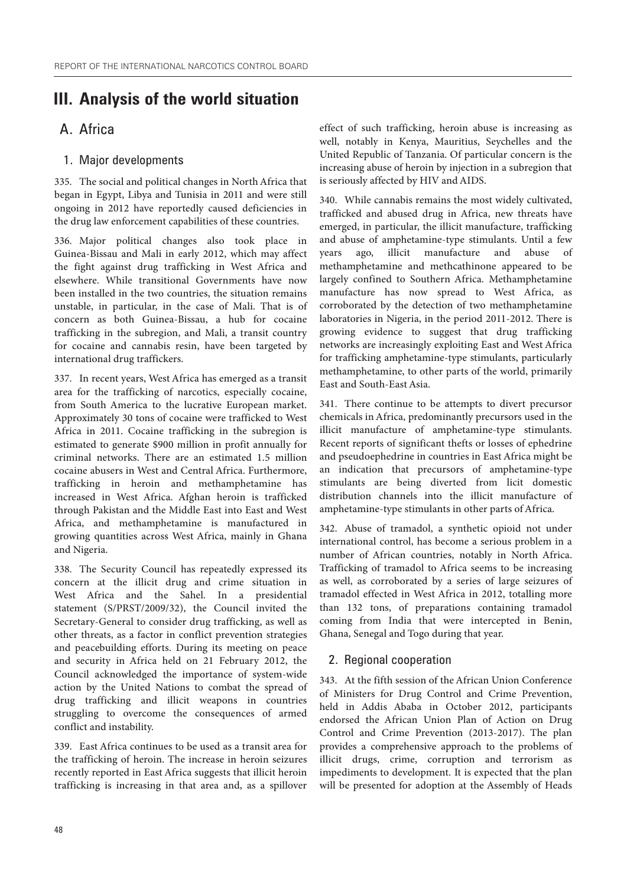# **III. Analysis of the world situation**

# A. Africa

### 1. Major developments

335. The social and political changes in North Africa that began in Egypt, Libya and Tunisia in 2011 and were still ongoing in 2012 have reportedly caused deficiencies in the drug law enforcement capabilities of these countries.

336. Major political changes also took place in Guinea-Bissau and Mali in early 2012, which may affect the fight against drug trafficking in West Africa and elsewhere. While transitional Governments have now been installed in the two countries, the situation remains unstable, in particular, in the case of Mali. That is of concern as both Guinea-Bissau, a hub for cocaine trafficking in the subregion, and Mali, a transit country for cocaine and cannabis resin, have been targeted by international drug traffickers.

337. In recent years, West Africa has emerged as a transit area for the trafficking of narcotics, especially cocaine, from South America to the lucrative European market. Approximately 30 tons of cocaine were trafficked to West Africa in 2011. Cocaine trafficking in the subregion is estimated to generate \$900 million in profit annually for criminal networks. There are an estimated 1.5 million cocaine abusers in West and Central Africa. Furthermore, trafficking in heroin and methamphetamine has increased in West Africa. Afghan heroin is trafficked through Pakistan and the Middle East into East and West Africa, and methamphetamine is manufactured in growing quantities across West Africa, mainly in Ghana and Nigeria.

338. The Security Council has repeatedly expressed its concern at the illicit drug and crime situation in West Africa and the Sahel. In a presidential statement (S/PRST/2009/32), the Council invited the Secretary-General to consider drug trafficking, as well as other threats, as a factor in conflict prevention strategies and peacebuilding efforts. During its meeting on peace and security in Africa held on 21 February 2012, the Council acknowledged the importance of system-wide action by the United Nations to combat the spread of drug trafficking and illicit weapons in countries struggling to overcome the consequences of armed conflict and instability.

339. East Africa continues to be used as a transit area for the trafficking of heroin. The increase in heroin seizures recently reported in East Africa suggests that illicit heroin trafficking is increasing in that area and, as a spillover effect of such trafficking, heroin abuse is increasing as well, notably in Kenya, Mauritius, Seychelles and the United Republic of Tanzania. Of particular concern is the increasing abuse of heroin by injection in a subregion that is seriously affected by HIV and AIDS.

340. While cannabis remains the most widely cultivated, trafficked and abused drug in Africa, new threats have emerged, in particular, the illicit manufacture, trafficking and abuse of amphetamine-type stimulants. Until a few years ago, illicit manufacture and abuse of methamphetamine and methcathinone appeared to be largely confined to Southern Africa. Methamphetamine manufacture has now spread to West Africa, as corroborated by the detection of two methamphetamine laboratories in Nigeria, in the period 2011-2012. There is growing evidence to suggest that drug trafficking networks are increasingly exploiting East and West Africa for trafficking amphetamine-type stimulants, particularly methamphetamine, to other parts of the world, primarily East and South-East Asia.

341. There continue to be attempts to divert precursor chemicals in Africa, predominantly precursors used in the illicit manufacture of amphetamine-type stimulants. Recent reports of significant thefts or losses of ephedrine and pseudoephedrine in countries in East Africa might be an indication that precursors of amphetamine-type stimulants are being diverted from licit domestic distribution channels into the illicit manufacture of amphetamine-type stimulants in other parts of Africa.

342. Abuse of tramadol, a synthetic opioid not under international control, has become a serious problem in a number of African countries, notably in North Africa. Trafficking of tramadol to Africa seems to be increasing as well, as corroborated by a series of large seizures of tramadol effected in West Africa in 2012, totalling more than 132 tons, of preparations containing tramadol coming from India that were intercepted in Benin, Ghana, Senegal and Togo during that year.

### 2. Regional cooperation

343. At the fifth session of the African Union Conference of Ministers for Drug Control and Crime Prevention, held in Addis Ababa in October 2012, participants endorsed the African Union Plan of Action on Drug Control and Crime Prevention (2013-2017). The plan provides a comprehensive approach to the problems of illicit drugs, crime, corruption and terrorism as impediments to development. It is expected that the plan will be presented for adoption at the Assembly of Heads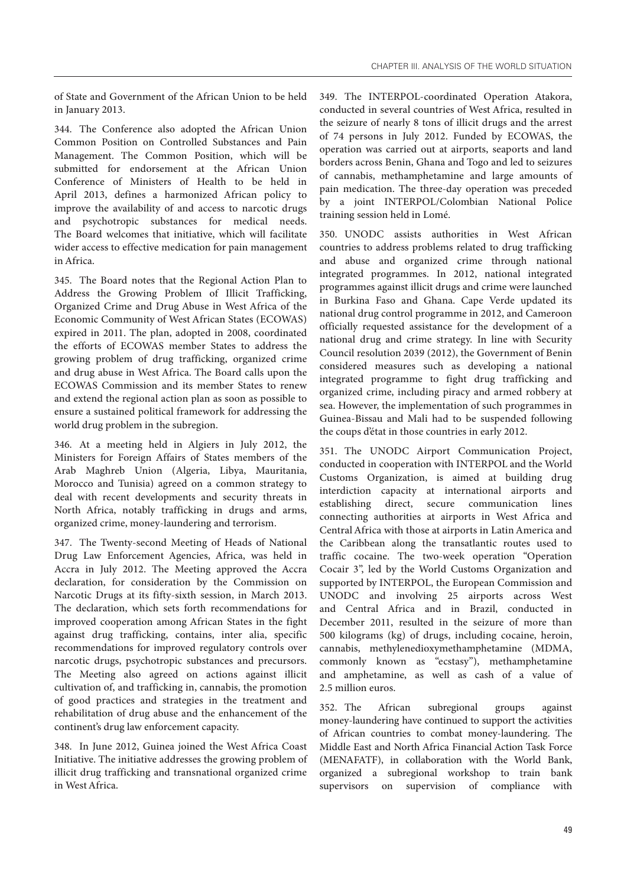of State and Government of the African Union to be held in January 2013.

344. The Conference also adopted the African Union Common Position on Controlled Substances and Pain Management. The Common Position, which will be submitted for endorsement at the African Union Conference of Ministers of Health to be held in April 2013, defines a harmonized African policy to improve the availability of and access to narcotic drugs and psychotropic substances for medical needs. The Board welcomes that initiative, which will facilitate wider access to effective medication for pain management in Africa.

345. The Board notes that the Regional Action Plan to Address the Growing Problem of Illicit Trafficking, Organized Crime and Drug Abuse in West Africa of the Economic Community of West African States (ECOWAS) expired in 2011. The plan, adopted in 2008, coordinated the efforts of ECOWAS member States to address the growing problem of drug trafficking, organized crime and drug abuse in West Africa. The Board calls upon the ECOWAS Commission and its member States to renew and extend the regional action plan as soon as possible to ensure a sustained political framework for addressing the world drug problem in the subregion.

346. At a meeting held in Algiers in July 2012, the Ministers for Foreign Affairs of States members of the Arab Maghreb Union (Algeria, Libya, Mauritania, Morocco and Tunisia) agreed on a common strategy to deal with recent developments and security threats in North Africa, notably trafficking in drugs and arms, organized crime, money-laundering and terrorism.

347. The Twenty-second Meeting of Heads of National Drug Law Enforcement Agencies, Africa, was held in Accra in July 2012. The Meeting approved the Accra declaration, for consideration by the Commission on Narcotic Drugs at its fifty-sixth session, in March 2013. The declaration, which sets forth recommendations for improved cooperation among African States in the fight against drug trafficking, contains, inter alia, specific recommendations for improved regulatory controls over narcotic drugs, psychotropic substances and precursors. The Meeting also agreed on actions against illicit cultivation of, and trafficking in, cannabis, the promotion of good practices and strategies in the treatment and rehabilitation of drug abuse and the enhancement of the continent's drug law enforcement capacity.

348. In June 2012, Guinea joined the West Africa Coast Initiative. The initiative addresses the growing problem of illicit drug trafficking and transnational organized crime in West Africa.

349. The INTERPOL-coordinated Operation Atakora, conducted in several countries of West Africa, resulted in the seizure of nearly 8 tons of illicit drugs and the arrest of 74 persons in July 2012. Funded by ECOWAS, the operation was carried out at airports, seaports and land borders across Benin, Ghana and Togo and led to seizures of cannabis, methamphetamine and large amounts of pain medication. The three-day operation was preceded by a joint INTERPOL/Colombian National Police training session held in Lomé.

350. UNODC assists authorities in West African countries to address problems related to drug trafficking and abuse and organized crime through national integrated programmes. In 2012, national integrated programmes against illicit drugs and crime were launched in Burkina Faso and Ghana. Cape Verde updated its national drug control programme in 2012, and Cameroon officially requested assistance for the development of a national drug and crime strategy. In line with Security Council resolution 2039 (2012), the Government of Benin considered measures such as developing a national integrated programme to fight drug trafficking and organized crime, including piracy and armed robbery at sea. However, the implementation of such programmes in Guinea-Bissau and Mali had to be suspended following the coups d'état in those countries in early 2012.

351. The UNODC Airport Communication Project, conducted in cooperation with INTERPOL and the World Customs Organization, is aimed at building drug interdiction capacity at international airports and establishing direct, secure communication lines connecting authorities at airports in West Africa and Central Africa with those at airports in Latin America and the Caribbean along the transatlantic routes used to traffic cocaine. The two-week operation "Operation Cocair 3", led by the World Customs Organization and supported by INTERPOL, the European Commission and UNODC and involving 25 airports across West and Central Africa and in Brazil, conducted in December 2011, resulted in the seizure of more than 500 kilograms (kg) of drugs, including cocaine, heroin, cannabis, methylenedioxymethamphetamine (MDMA, commonly known as "ecstasy"), methamphetamine and amphetamine, as well as cash of a value of 2.5 million euros.

352. The African subregional groups against money-laundering have continued to support the activities of African countries to combat money-laundering. The Middle East and North Africa Financial Action Task Force (MENAFATF), in collaboration with the World Bank, organized a subregional workshop to train bank supervisors on supervision of compliance with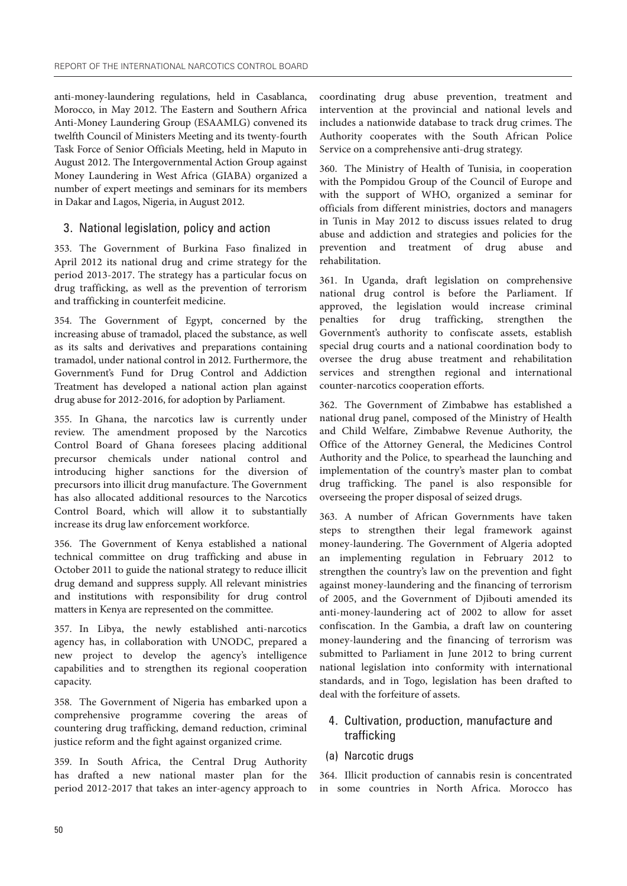anti-money-laundering regulations, held in Casablanca, Morocco, in May 2012. The Eastern and Southern Africa Anti-Money Laundering Group (ESAAMLG) convened its twelfth Council of Ministers Meeting and its twenty-fourth Task Force of Senior Officials Meeting, held in Maputo in August 2012. The Intergovernmental Action Group against Money Laundering in West Africa (GIABA) organized a number of expert meetings and seminars for its members in Dakar and Lagos, Nigeria, in August 2012.

### 3. National legislation, policy and action

353. The Government of Burkina Faso finalized in April 2012 its national drug and crime strategy for the period 2013-2017. The strategy has a particular focus on drug trafficking, as well as the prevention of terrorism and trafficking in counterfeit medicine.

354. The Government of Egypt, concerned by the increasing abuse of tramadol, placed the substance, as well as its salts and derivatives and preparations containing tramadol, under national control in 2012. Furthermore, the Government's Fund for Drug Control and Addiction Treatment has developed a national action plan against drug abuse for 2012-2016, for adoption by Parliament.

355. In Ghana, the narcotics law is currently under review. The amendment proposed by the Narcotics Control Board of Ghana foresees placing additional precursor chemicals under national control and introducing higher sanctions for the diversion of precursors into illicit drug manufacture. The Government has also allocated additional resources to the Narcotics Control Board, which will allow it to substantially increase its drug law enforcement workforce.

356. The Government of Kenya established a national technical committee on drug trafficking and abuse in October 2011 to guide the national strategy to reduce illicit drug demand and suppress supply. All relevant ministries and institutions with responsibility for drug control matters in Kenya are represented on the committee.

357. In Libya, the newly established anti-narcotics agency has, in collaboration with UNODC, prepared a new project to develop the agency's intelligence capabilities and to strengthen its regional cooperation capacity.

358. The Government of Nigeria has embarked upon a comprehensive programme covering the areas of countering drug trafficking, demand reduction, criminal justice reform and the fight against organized crime.

359. In South Africa, the Central Drug Authority has drafted a new national master plan for the period 2012-2017 that takes an inter-agency approach to

coordinating drug abuse prevention, treatment and intervention at the provincial and national levels and includes a nationwide database to track drug crimes. The Authority cooperates with the South African Police Service on a comprehensive anti-drug strategy.

360. The Ministry of Health of Tunisia, in cooperation with the Pompidou Group of the Council of Europe and with the support of WHO, organized a seminar for officials from different ministries, doctors and managers in Tunis in May 2012 to discuss issues related to drug abuse and addiction and strategies and policies for the prevention and treatment of drug abuse and rehabilitation.

361. In Uganda, draft legislation on comprehensive national drug control is before the Parliament. If approved, the legislation would increase criminal penalties for drug trafficking, strengthen the Government's authority to confiscate assets, establish special drug courts and a national coordination body to oversee the drug abuse treatment and rehabilitation services and strengthen regional and international counter-narcotics cooperation efforts.

362. The Government of Zimbabwe has established a national drug panel, composed of the Ministry of Health and Child Welfare, Zimbabwe Revenue Authority, the Office of the Attorney General, the Medicines Control Authority and the Police, to spearhead the launching and implementation of the country's master plan to combat drug trafficking. The panel is also responsible for overseeing the proper disposal of seized drugs.

363. A number of African Governments have taken steps to strengthen their legal framework against money-laundering. The Government of Algeria adopted an implementing regulation in February 2012 to strengthen the country's law on the prevention and fight against money-laundering and the financing of terrorism of 2005, and the Government of Djibouti amended its anti-money-laundering act of 2002 to allow for asset confiscation. In the Gambia, a draft law on countering money-laundering and the financing of terrorism was submitted to Parliament in June 2012 to bring current national legislation into conformity with international standards, and in Togo, legislation has been drafted to deal with the forfeiture of assets.

# 4. Cultivation, production, manufacture and trafficking

(a) Narcotic drugs

364. Illicit production of cannabis resin is concentrated in some countries in North Africa. Morocco has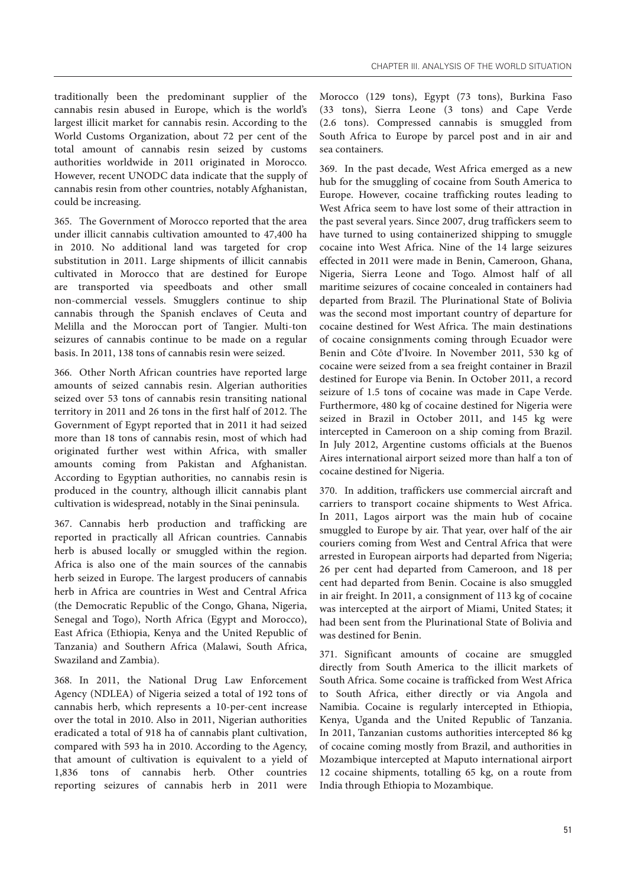traditionally been the predominant supplier of the cannabis resin abused in Europe, which is the world's largest illicit market for cannabis resin. According to the World Customs Organization, about 72 per cent of the total amount of cannabis resin seized by customs authorities worldwide in 2011 originated in Morocco. However, recent UNODC data indicate that the supply of cannabis resin from other countries, notably Afghanistan, could be increasing.

365. The Government of Morocco reported that the area under illicit cannabis cultivation amounted to 47,400 ha in 2010. No additional land was targeted for crop substitution in 2011. Large shipments of illicit cannabis cultivated in Morocco that are destined for Europe are transported via speedboats and other small non-commercial vessels. Smugglers continue to ship cannabis through the Spanish enclaves of Ceuta and Melilla and the Moroccan port of Tangier. Multi-ton seizures of cannabis continue to be made on a regular basis. In 2011, 138 tons of cannabis resin were seized.

366. Other North African countries have reported large amounts of seized cannabis resin. Algerian authorities seized over 53 tons of cannabis resin transiting national territory in 2011 and 26 tons in the first half of 2012. The Government of Egypt reported that in 2011 it had seized more than 18 tons of cannabis resin, most of which had originated further west within Africa, with smaller amounts coming from Pakistan and Afghanistan. According to Egyptian authorities, no cannabis resin is produced in the country, although illicit cannabis plant cultivation is widespread, notably in the Sinai peninsula.

367. Cannabis herb production and trafficking are reported in practically all African countries. Cannabis herb is abused locally or smuggled within the region. Africa is also one of the main sources of the cannabis herb seized in Europe. The largest producers of cannabis herb in Africa are countries in West and Central Africa (the Democratic Republic of the Congo, Ghana, Nigeria, Senegal and Togo), North Africa (Egypt and Morocco), East Africa (Ethiopia, Kenya and the United Republic of Tanzania) and Southern Africa (Malawi, South Africa, Swaziland and Zambia).

368. In 2011, the National Drug Law Enforcement Agency (NDLEA) of Nigeria seized a total of 192 tons of cannabis herb, which represents a 10-per-cent increase over the total in 2010. Also in 2011, Nigerian authorities eradicated a total of 918 ha of cannabis plant cultivation, compared with 593 ha in 2010. According to the Agency, that amount of cultivation is equivalent to a yield of 1,836 tons of cannabis herb. Other countries reporting seizures of cannabis herb in 2011 were

Morocco (129 tons), Egypt (73 tons), Burkina Faso (33 tons), Sierra Leone (3 tons) and Cape Verde (2.6 tons). Compressed cannabis is smuggled from South Africa to Europe by parcel post and in air and sea containers.

369. In the past decade, West Africa emerged as a new hub for the smuggling of cocaine from South America to Europe. However, cocaine trafficking routes leading to West Africa seem to have lost some of their attraction in the past several years. Since 2007, drug traffickers seem to have turned to using containerized shipping to smuggle cocaine into West Africa. Nine of the 14 large seizures effected in 2011 were made in Benin, Cameroon, Ghana, Nigeria, Sierra Leone and Togo. Almost half of all maritime seizures of cocaine concealed in containers had departed from Brazil. The Plurinational State of Bolivia was the second most important country of departure for cocaine destined for West Africa. The main destinations of cocaine consignments coming through Ecuador were Benin and Côte d'Ivoire. In November 2011, 530 kg of cocaine were seized from a sea freight container in Brazil destined for Europe via Benin. In October 2011, a record seizure of 1.5 tons of cocaine was made in Cape Verde. Furthermore, 480 kg of cocaine destined for Nigeria were seized in Brazil in October 2011, and 145 kg were intercepted in Cameroon on a ship coming from Brazil. In July 2012, Argentine customs officials at the Buenos Aires international airport seized more than half a ton of cocaine destined for Nigeria.

370. In addition, traffickers use commercial aircraft and carriers to transport cocaine shipments to West Africa. In 2011, Lagos airport was the main hub of cocaine smuggled to Europe by air. That year, over half of the air couriers coming from West and Central Africa that were arrested in European airports had departed from Nigeria; 26 per cent had departed from Cameroon, and 18 per cent had departed from Benin. Cocaine is also smuggled in air freight. In 2011, a consignment of 113 kg of cocaine was intercepted at the airport of Miami, United States; it had been sent from the Plurinational State of Bolivia and was destined for Benin.

371. Significant amounts of cocaine are smuggled directly from South America to the illicit markets of South Africa. Some cocaine is trafficked from West Africa to South Africa, either directly or via Angola and Namibia. Cocaine is regularly intercepted in Ethiopia, Kenya, Uganda and the United Republic of Tanzania. In 2011, Tanzanian customs authorities intercepted 86 kg of cocaine coming mostly from Brazil, and authorities in Mozambique intercepted at Maputo international airport 12 cocaine shipments, totalling 65 kg, on a route from India through Ethiopia to Mozambique.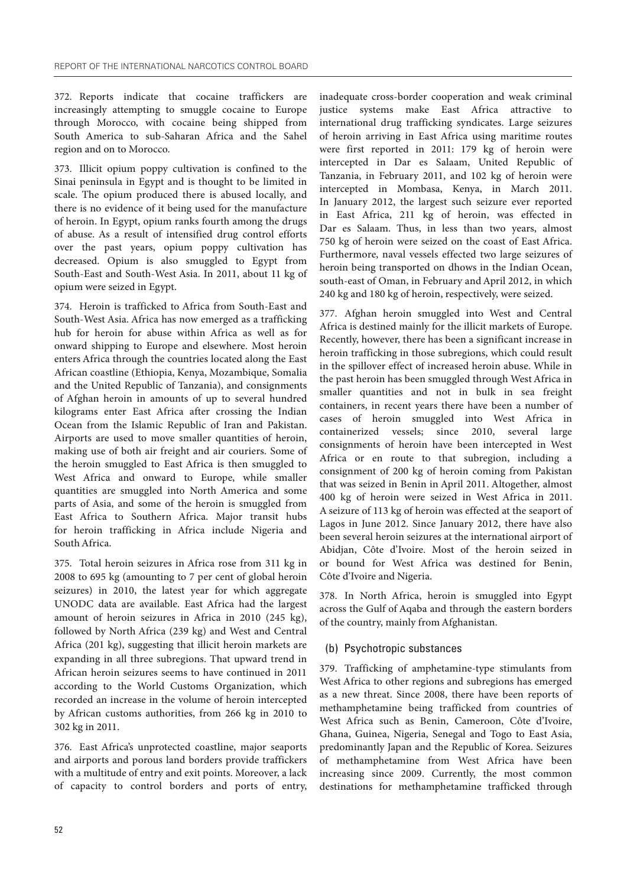372. Reports indicate that cocaine traffickers are increasingly attempting to smuggle cocaine to Europe through Morocco, with cocaine being shipped from South America to sub-Saharan Africa and the Sahel region and on to Morocco.

373. Illicit opium poppy cultivation is confined to the Sinai peninsula in Egypt and is thought to be limited in scale. The opium produced there is abused locally, and there is no evidence of it being used for the manufacture of heroin. In Egypt, opium ranks fourth among the drugs of abuse. As a result of intensified drug control efforts over the past years, opium poppy cultivation has decreased. Opium is also smuggled to Egypt from South-East and South-West Asia. In 2011, about 11 kg of opium were seized in Egypt.

374. Heroin is trafficked to Africa from South-East and South-West Asia. Africa has now emerged as a trafficking hub for heroin for abuse within Africa as well as for onward shipping to Europe and elsewhere. Most heroin enters Africa through the countries located along the East African coastline (Ethiopia, Kenya, Mozambique, Somalia and the United Republic of Tanzania), and consignments of Afghan heroin in amounts of up to several hundred kilograms enter East Africa after crossing the Indian Ocean from the Islamic Republic of Iran and Pakistan. Airports are used to move smaller quantities of heroin, making use of both air freight and air couriers. Some of the heroin smuggled to East Africa is then smuggled to West Africa and onward to Europe, while smaller quantities are smuggled into North America and some parts of Asia, and some of the heroin is smuggled from East Africa to Southern Africa. Major transit hubs for heroin trafficking in Africa include Nigeria and South Africa.

375. Total heroin seizures in Africa rose from 311 kg in 2008 to 695 kg (amounting to 7 per cent of global heroin seizures) in 2010, the latest year for which aggregate UNODC data are available. East Africa had the largest amount of heroin seizures in Africa in 2010 (245 kg), followed by North Africa (239 kg) and West and Central Africa (201 kg), suggesting that illicit heroin markets are expanding in all three subregions. That upward trend in African heroin seizures seems to have continued in 2011 according to the World Customs Organization, which recorded an increase in the volume of heroin intercepted by African customs authorities, from 266 kg in 2010 to 302 kg in 2011.

376. East Africa's unprotected coastline, major seaports and airports and porous land borders provide traffickers with a multitude of entry and exit points. Moreover, a lack of capacity to control borders and ports of entry,

inadequate cross-border cooperation and weak criminal justice systems make East Africa attractive to international drug trafficking syndicates. Large seizures of heroin arriving in East Africa using maritime routes were first reported in 2011: 179 kg of heroin were intercepted in Dar es Salaam, United Republic of Tanzania, in February 2011, and 102 kg of heroin were intercepted in Mombasa, Kenya, in March 2011. In January 2012, the largest such seizure ever reported in East Africa, 211 kg of heroin, was effected in Dar es Salaam. Thus, in less than two years, almost 750 kg of heroin were seized on the coast of East Africa. Furthermore, naval vessels effected two large seizures of heroin being transported on dhows in the Indian Ocean, south-east of Oman, in February and April 2012, in which 240 kg and 180 kg of heroin, respectively, were seized.

377. Afghan heroin smuggled into West and Central Africa is destined mainly for the illicit markets of Europe. Recently, however, there has been a significant increase in heroin trafficking in those subregions, which could result in the spillover effect of increased heroin abuse. While in the past heroin has been smuggled through West Africa in smaller quantities and not in bulk in sea freight containers, in recent years there have been a number of cases of heroin smuggled into West Africa in containerized vessels; since 2010, several large consignments of heroin have been intercepted in West Africa or en route to that subregion, including a consignment of 200 kg of heroin coming from Pakistan that was seized in Benin in April 2011. Altogether, almost 400 kg of heroin were seized in West Africa in 2011. A seizure of 113 kg of heroin was effected at the seaport of Lagos in June 2012. Since January 2012, there have also been several heroin seizures at the international airport of Abidjan, Côte d'Ivoire. Most of the heroin seized in or bound for West Africa was destined for Benin, Côte d'Ivoire and Nigeria.

378. In North Africa, heroin is smuggled into Egypt across the Gulf of Aqaba and through the eastern borders of the country, mainly from Afghanistan.

#### (b) Psychotropic substances

379. Trafficking of amphetamine-type stimulants from West Africa to other regions and subregions has emerged as a new threat. Since 2008, there have been reports of methamphetamine being trafficked from countries of West Africa such as Benin, Cameroon, Côte d'Ivoire, Ghana, Guinea, Nigeria, Senegal and Togo to East Asia, predominantly Japan and the Republic of Korea. Seizures of methamphetamine from West Africa have been increasing since 2009. Currently, the most common destinations for methamphetamine trafficked through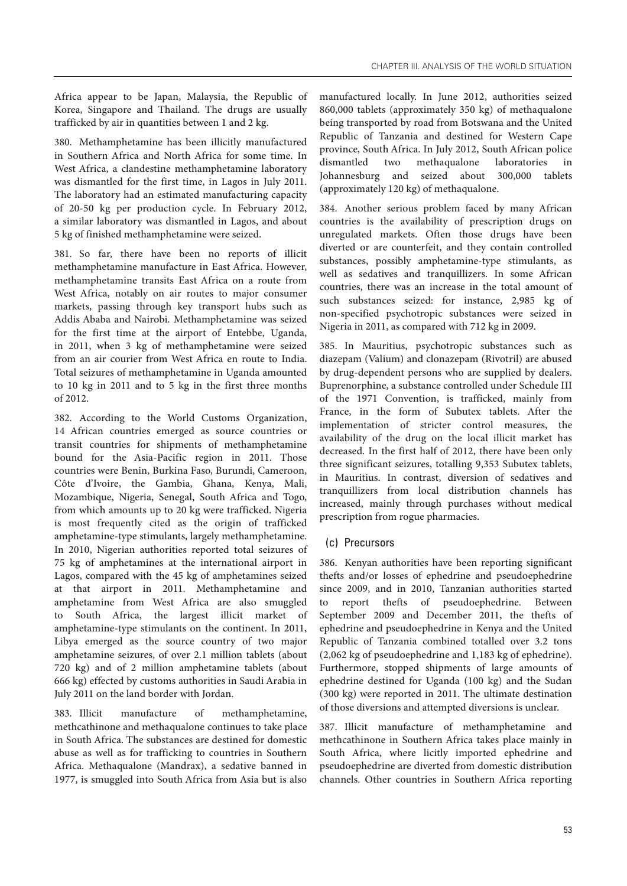Africa appear to be Japan, Malaysia, the Republic of Korea, Singapore and Thailand. The drugs are usually trafficked by air in quantities between 1 and 2 kg.

380. Methamphetamine has been illicitly manufactured in Southern Africa and North Africa for some time. In West Africa, a clandestine methamphetamine laboratory was dismantled for the first time, in Lagos in July 2011. The laboratory had an estimated manufacturing capacity of 20-50 kg per production cycle. In February 2012, a similar laboratory was dismantled in Lagos, and about 5 kg of finished methamphetamine were seized.

381. So far, there have been no reports of illicit methamphetamine manufacture in East Africa. However, methamphetamine transits East Africa on a route from West Africa, notably on air routes to major consumer markets, passing through key transport hubs such as Addis Ababa and Nairobi. Methamphetamine was seized for the first time at the airport of Entebbe, Uganda, in 2011, when 3 kg of methamphetamine were seized from an air courier from West Africa en route to India. Total seizures of methamphetamine in Uganda amounted to 10 kg in 2011 and to 5 kg in the first three months of 2012.

382. According to the World Customs Organization, 14 African countries emerged as source countries or transit countries for shipments of methamphetamine bound for the Asia-Pacific region in 2011. Those countries were Benin, Burkina Faso, Burundi, Cameroon, Côte d'Ivoire, the Gambia, Ghana, Kenya, Mali, Mozambique, Nigeria, Senegal, South Africa and Togo, from which amounts up to 20 kg were trafficked. Nigeria is most frequently cited as the origin of trafficked amphetamine-type stimulants, largely methamphetamine. In 2010, Nigerian authorities reported total seizures of 75 kg of amphetamines at the international airport in Lagos, compared with the 45 kg of amphetamines seized at that airport in 2011. Methamphetamine and amphetamine from West Africa are also smuggled to South Africa, the largest illicit market of amphetamine-type stimulants on the continent. In 2011, Libya emerged as the source country of two major amphetamine seizures, of over 2.1 million tablets (about 720 kg) and of 2 million amphetamine tablets (about 666 kg) effected by customs authorities in Saudi Arabia in July 2011 on the land border with Jordan.

383. Illicit manufacture of methamphetamine, methcathinone and methaqualone continues to take place in South Africa. The substances are destined for domestic abuse as well as for trafficking to countries in Southern Africa. Methaqualone (Mandrax), a sedative banned in 1977, is smuggled into South Africa from Asia but is also

manufactured locally. In June 2012, authorities seized 860,000 tablets (approximately 350 kg) of methaqualone being transported by road from Botswana and the United Republic of Tanzania and destined for Western Cape province, South Africa. In July 2012, South African police dismantled two methaqualone laboratories in Johannesburg and seized about 300,000 tablets (approximately 120 kg) of methaqualone.

384. Another serious problem faced by many African countries is the availability of prescription drugs on unregulated markets. Often those drugs have been diverted or are counterfeit, and they contain controlled substances, possibly amphetamine-type stimulants, as well as sedatives and tranquillizers. In some African countries, there was an increase in the total amount of such substances seized: for instance, 2,985 kg of non-specified psychotropic substances were seized in Nigeria in 2011, as compared with 712 kg in 2009.

385. In Mauritius, psychotropic substances such as diazepam (Valium) and clonazepam (Rivotril) are abused by drug-dependent persons who are supplied by dealers. Buprenorphine, a substance controlled under Schedule III of the 1971 Convention, is trafficked, mainly from France, in the form of Subutex tablets. After the implementation of stricter control measures, the availability of the drug on the local illicit market has decreased. In the first half of 2012, there have been only three significant seizures, totalling 9,353 Subutex tablets, in Mauritius. In contrast, diversion of sedatives and tranquillizers from local distribution channels has increased, mainly through purchases without medical prescription from rogue pharmacies.

#### (c) Precursors

386. Kenyan authorities have been reporting significant thefts and/or losses of ephedrine and pseudoephedrine since 2009, and in 2010, Tanzanian authorities started to report thefts of pseudoephedrine. Between September 2009 and December 2011, the thefts of ephedrine and pseudoephedrine in Kenya and the United Republic of Tanzania combined totalled over 3.2 tons (2,062 kg of pseudoephedrine and 1,183 kg of ephedrine). Furthermore, stopped shipments of large amounts of ephedrine destined for Uganda (100 kg) and the Sudan (300 kg) were reported in 2011. The ultimate destination of those diversions and attempted diversions is unclear.

387. Illicit manufacture of methamphetamine and methcathinone in Southern Africa takes place mainly in South Africa, where licitly imported ephedrine and pseudoephedrine are diverted from domestic distribution channels. Other countries in Southern Africa reporting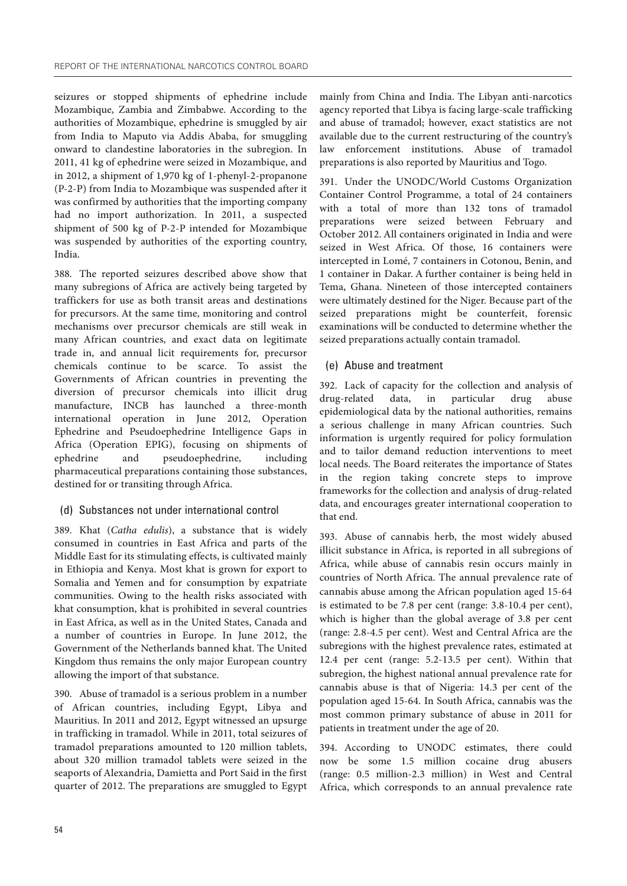seizures or stopped shipments of ephedrine include Mozambique, Zambia and Zimbabwe. According to the authorities of Mozambique, ephedrine is smuggled by air from India to Maputo via Addis Ababa, for smuggling onward to clandestine laboratories in the subregion. In 2011, 41 kg of ephedrine were seized in Mozambique, and in 2012, a shipment of 1,970 kg of 1-phenyl-2-propanone (P-2-P) from India to Mozambique was suspended after it was confirmed by authorities that the importing company had no import authorization. In 2011, a suspected shipment of 500 kg of P-2-P intended for Mozambique was suspended by authorities of the exporting country, India.

388. The reported seizures described above show that many subregions of Africa are actively being targeted by traffickers for use as both transit areas and destinations for precursors. At the same time, monitoring and control mechanisms over precursor chemicals are still weak in many African countries, and exact data on legitimate trade in, and annual licit requirements for, precursor chemicals continue to be scarce. To assist the Governments of African countries in preventing the diversion of precursor chemicals into illicit drug manufacture, INCB has launched a three-month international operation in June 2012, Operation Ephedrine and Pseudoephedrine Intelligence Gaps in Africa (Operation EPIG), focusing on shipments of ephedrine and pseudoephedrine, including pharmaceutical preparations containing those substances, destined for or transiting through Africa.

#### (d) Substances not under international control

389. Khat (*Catha edulis*), a substance that is widely consumed in countries in East Africa and parts of the Middle East for its stimulating effects, is cultivated mainly in Ethiopia and Kenya. Most khat is grown for export to Somalia and Yemen and for consumption by expatriate communities. Owing to the health risks associated with khat consumption, khat is prohibited in several countries in East Africa, as well as in the United States, Canada and a number of countries in Europe. In June 2012, the Government of the Netherlands banned khat. The United Kingdom thus remains the only major European country allowing the import of that substance.

390. Abuse of tramadol is a serious problem in a number of African countries, including Egypt, Libya and Mauritius. In 2011 and 2012, Egypt witnessed an upsurge in trafficking in tramadol. While in 2011, total seizures of tramadol preparations amounted to 120 million tablets, about 320 million tramadol tablets were seized in the seaports of Alexandria, Damietta and Port Said in the first quarter of 2012. The preparations are smuggled to Egypt

mainly from China and India. The Libyan anti-narcotics agency reported that Libya is facing large-scale trafficking and abuse of tramadol; however, exact statistics are not available due to the current restructuring of the country's law enforcement institutions. Abuse of tramadol preparations is also reported by Mauritius and Togo.

391. Under the UNODC/World Customs Organization Container Control Programme, a total of 24 containers with a total of more than 132 tons of tramadol preparations were seized between February and October 2012. All containers originated in India and were seized in West Africa. Of those, 16 containers were intercepted in Lomé, 7 containers in Cotonou, Benin, and 1 container in Dakar. A further container is being held in Tema, Ghana. Nineteen of those intercepted containers were ultimately destined for the Niger. Because part of the seized preparations might be counterfeit, forensic examinations will be conducted to determine whether the seized preparations actually contain tramadol.

#### (e) Abuse and treatment

392. Lack of capacity for the collection and analysis of drug-related data, in particular drug abuse epidemiological data by the national authorities, remains a serious challenge in many African countries. Such information is urgently required for policy formulation and to tailor demand reduction interventions to meet local needs. The Board reiterates the importance of States in the region taking concrete steps to improve frameworks for the collection and analysis of drug-related data, and encourages greater international cooperation to that end.

393. Abuse of cannabis herb, the most widely abused illicit substance in Africa, is reported in all subregions of Africa, while abuse of cannabis resin occurs mainly in countries of North Africa. The annual prevalence rate of cannabis abuse among the African population aged 15-64 is estimated to be 7.8 per cent (range: 3.8-10.4 per cent), which is higher than the global average of 3.8 per cent (range: 2.8-4.5 per cent). West and Central Africa are the subregions with the highest prevalence rates, estimated at 12.4 per cent (range: 5.2-13.5 per cent). Within that subregion, the highest national annual prevalence rate for cannabis abuse is that of Nigeria: 14.3 per cent of the population aged 15-64. In South Africa, cannabis was the most common primary substance of abuse in 2011 for patients in treatment under the age of 20.

394. According to UNODC estimates, there could now be some 1.5 million cocaine drug abusers (range: 0.5 million-2.3 million) in West and Central Africa, which corresponds to an annual prevalence rate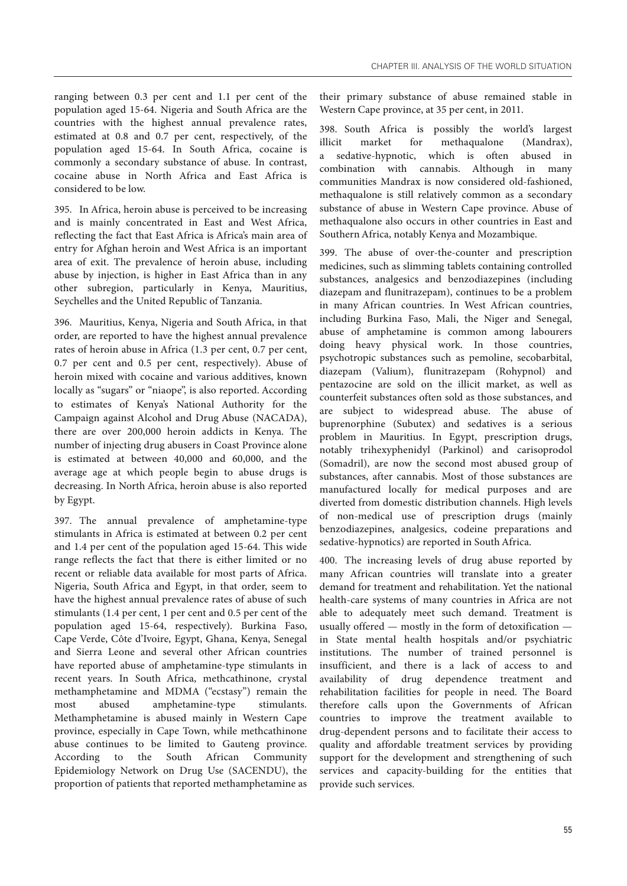ranging between 0.3 per cent and 1.1 per cent of the population aged 15-64. Nigeria and South Africa are the countries with the highest annual prevalence rates, estimated at 0.8 and 0.7 per cent, respectively, of the population aged 15-64. In South Africa, cocaine is commonly a secondary substance of abuse. In contrast, cocaine abuse in North Africa and East Africa is considered to be low.

395. In Africa, heroin abuse is perceived to be increasing and is mainly concentrated in East and West Africa, reflecting the fact that East Africa is Africa's main area of entry for Afghan heroin and West Africa is an important area of exit. The prevalence of heroin abuse, including abuse by injection, is higher in East Africa than in any other subregion, particularly in Kenya, Mauritius, Seychelles and the United Republic of Tanzania.

396. Mauritius, Kenya, Nigeria and South Africa, in that order, are reported to have the highest annual prevalence rates of heroin abuse in Africa (1.3 per cent, 0.7 per cent, 0.7 per cent and 0.5 per cent, respectively). Abuse of heroin mixed with cocaine and various additives, known locally as "sugars" or "niaope", is also reported. According to estimates of Kenya's National Authority for the Campaign against Alcohol and Drug Abuse (NACADA), there are over 200,000 heroin addicts in Kenya. The number of injecting drug abusers in Coast Province alone is estimated at between 40,000 and 60,000, and the average age at which people begin to abuse drugs is decreasing. In North Africa, heroin abuse is also reported by Egypt.

397. The annual prevalence of amphetamine-type stimulants in Africa is estimated at between 0.2 per cent and 1.4 per cent of the population aged 15-64. This wide range reflects the fact that there is either limited or no recent or reliable data available for most parts of Africa. Nigeria, South Africa and Egypt, in that order, seem to have the highest annual prevalence rates of abuse of such stimulants (1.4 per cent, 1 per cent and 0.5 per cent of the population aged 15-64, respectively). Burkina Faso, Cape Verde, Côte d'Ivoire, Egypt, Ghana, Kenya, Senegal and Sierra Leone and several other African countries have reported abuse of amphetamine-type stimulants in recent years. In South Africa, methcathinone, crystal methamphetamine and MDMA ("ecstasy") remain the most abused amphetamine-type stimulants. Methamphetamine is abused mainly in Western Cape province, especially in Cape Town, while methcathinone abuse continues to be limited to Gauteng province. According to the South African Community Epidemiology Network on Drug Use (SACENDU), the proportion of patients that reported methamphetamine as their primary substance of abuse remained stable in Western Cape province, at 35 per cent, in 2011.

398. South Africa is possibly the world's largest illicit market for methaqualone (Mandrax), a sedative-hypnotic, which is often abused in combination with cannabis. Although in many communities Mandrax is now considered old-fashioned, methaqualone is still relatively common as a secondary substance of abuse in Western Cape province. Abuse of methaqualone also occurs in other countries in East and Southern Africa, notably Kenya and Mozambique.

399. The abuse of over-the-counter and prescription medicines, such as slimming tablets containing controlled substances, analgesics and benzodiazepines (including diazepam and flunitrazepam), continues to be a problem in many African countries. In West African countries, including Burkina Faso, Mali, the Niger and Senegal, abuse of amphetamine is common among labourers doing heavy physical work. In those countries, psychotropic substances such as pemoline, secobarbital, diazepam (Valium), flunitrazepam (Rohypnol) and pentazocine are sold on the illicit market, as well as counterfeit substances often sold as those substances, and are subject to widespread abuse. The abuse of buprenorphine (Subutex) and sedatives is a serious problem in Mauritius. In Egypt, prescription drugs, notably trihexyphenidyl (Parkinol) and carisoprodol (Somadril), are now the second most abused group of substances, after cannabis. Most of those substances are manufactured locally for medical purposes and are diverted from domestic distribution channels. High levels of non-medical use of prescription drugs (mainly benzodiazepines, analgesics, codeine preparations and sedative-hypnotics) are reported in South Africa.

400. The increasing levels of drug abuse reported by many African countries will translate into a greater demand for treatment and rehabilitation. Yet the national health-care systems of many countries in Africa are not able to adequately meet such demand. Treatment is usually offered — mostly in the form of detoxification in State mental health hospitals and/or psychiatric institutions. The number of trained personnel is insufficient, and there is a lack of access to and availability of drug dependence treatment and rehabilitation facilities for people in need. The Board therefore calls upon the Governments of African countries to improve the treatment available to drug-dependent persons and to facilitate their access to quality and affordable treatment services by providing support for the development and strengthening of such services and capacity-building for the entities that provide such services.